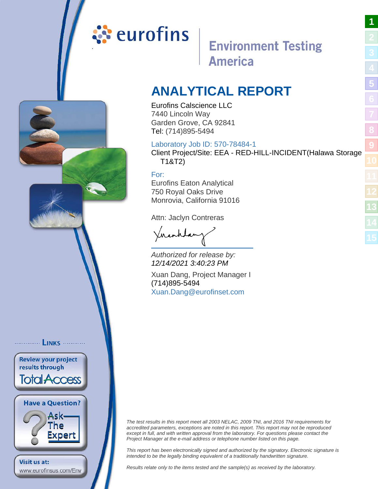## <span id="page-0-0"></span>ं eurofins

### **Environment Testing America**

**[1](#page-0-0)**

**[5](#page-4-0)**

**[8](#page-8-0)**

**[9](#page-10-0)**

### **ANALYTICAL REPORT**

Eurofins Calscience LLC 7440 Lincoln Way Garden Grove, CA 92841 Tel: (714)895-5494

### Laboratory Job ID: 570-78484-1

Client Project/Site: EEA - RED-HILL-INCIDENT(Halawa Storage T1&T2)

### For:

............... LINKS ............

**Review your project** results through

**Total Access** 

**Have a Question?** 

www.eurofinsus.com/Env

**Visit us at:** 

Ask-The Expert Eurofins Eaton Analytical 750 Royal Oaks Drive Monrovia, California 91016

Attn: Jaclyn Contreras

Viranhdanz

Authorized for release by: 12/14/2021 3:40:23 PM

Xuan Dang, Project Manager I (714)895-5494 [Xuan.Dang@eurofinset.co](mailto:Xuan.Dang@eurofinset.com)m

The test results in this report meet all 2003 NELAC, 2009 TNI, and 2016 TNI requirements for accredited parameters, exceptions are noted in this report. This report may not be reproduced except in full, and with written approval from the laboratory. For questions please contact the Project Manager at the e-mail address or telephone number listed on this page.

This report has been electronically signed and authorized by the signatory. Electronic signature is intended to be the legally binding equivalent of a traditionally handwritten signature.

Results relate only to the items tested and the sample(s) as received by the laboratory.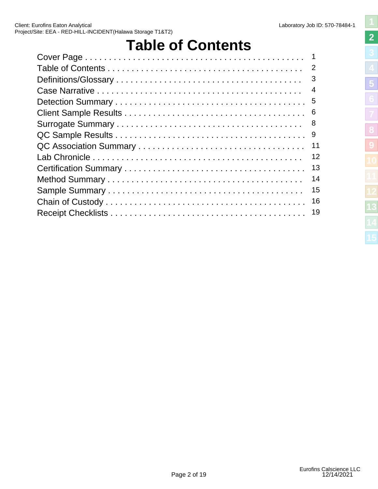## **Table of Contents**

<span id="page-1-0"></span>

| $\overline{4}$ |
|----------------|
| -5             |
| - 6            |
| -8             |
| -9             |
| 11             |
| 12             |
| 13             |
| 14             |
| 15             |
| 16             |
| 19             |
|                |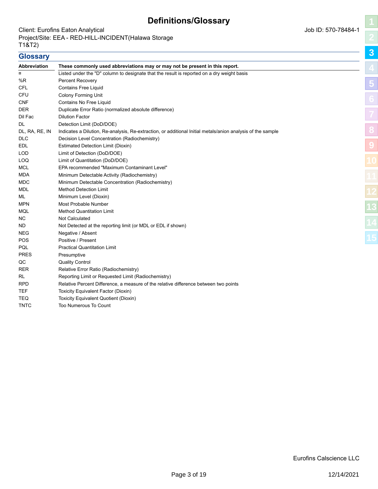### **Definitions/Glossary**

### <span id="page-2-0"></span>Client: Eurofins Eaton Analytical and Society and Society and Society and Society and Society and Job ID: 570-78484-1 Project/Site: EEA - RED-HILL-INCIDENT(Halawa Storage T1&T2)

**Glossary**

TNTC Too Numerous To Count

| <b>Abbreviation</b> | These commonly used abbreviations may or may not be present in this report.                                 |
|---------------------|-------------------------------------------------------------------------------------------------------------|
| ¤                   | Listed under the "D" column to designate that the result is reported on a dry weight basis                  |
| %R                  | <b>Percent Recovery</b>                                                                                     |
| <b>CFL</b>          | <b>Contains Free Liquid</b>                                                                                 |
| CFU                 | <b>Colony Forming Unit</b>                                                                                  |
| <b>CNF</b>          | Contains No Free Liquid                                                                                     |
| <b>DER</b>          | Duplicate Error Ratio (normalized absolute difference)                                                      |
| Dil Fac             | <b>Dilution Factor</b>                                                                                      |
| DL                  | Detection Limit (DoD/DOE)                                                                                   |
| DL, RA, RE, IN      | Indicates a Dilution, Re-analysis, Re-extraction, or additional Initial metals/anion analysis of the sample |
| <b>DLC</b>          | Decision Level Concentration (Radiochemistry)                                                               |
| <b>EDL</b>          | <b>Estimated Detection Limit (Dioxin)</b>                                                                   |
| <b>LOD</b>          | Limit of Detection (DoD/DOE)                                                                                |
| LOQ                 | Limit of Quantitation (DoD/DOE)                                                                             |
| <b>MCL</b>          | EPA recommended "Maximum Contaminant Level"                                                                 |
| <b>MDA</b>          | Minimum Detectable Activity (Radiochemistry)                                                                |
| <b>MDC</b>          | Minimum Detectable Concentration (Radiochemistry)                                                           |
| MDL                 | <b>Method Detection Limit</b>                                                                               |
| ML                  | Minimum Level (Dioxin)                                                                                      |
| <b>MPN</b>          | Most Probable Number                                                                                        |
| <b>MQL</b>          | <b>Method Quantitation Limit</b>                                                                            |
| NC.                 | <b>Not Calculated</b>                                                                                       |
| ND.                 | Not Detected at the reporting limit (or MDL or EDL if shown)                                                |
| NEG                 | Negative / Absent                                                                                           |
| POS                 | Positive / Present                                                                                          |
| PQL                 | <b>Practical Quantitation Limit</b>                                                                         |
| <b>PRES</b>         | Presumptive                                                                                                 |
| QC                  | <b>Quality Control</b>                                                                                      |
| <b>RER</b>          | Relative Error Ratio (Radiochemistry)                                                                       |
| RL                  | Reporting Limit or Requested Limit (Radiochemistry)                                                         |
| <b>RPD</b>          | Relative Percent Difference, a measure of the relative difference between two points                        |
| <b>TEF</b>          | Toxicity Equivalent Factor (Dioxin)                                                                         |
| TEQ                 | Toxicity Equivalent Quotient (Dioxin)                                                                       |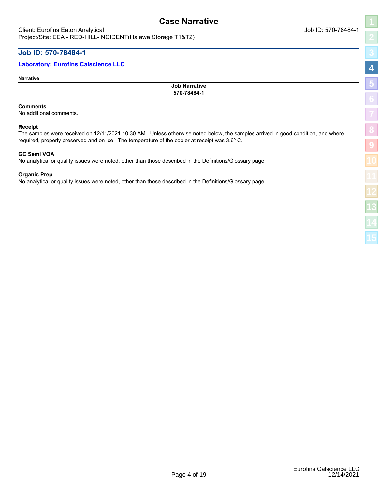### <span id="page-3-0"></span>**Job ID: 570-78484-1**

### **Laboratory: Eurofins Calscience LLC**

**Narrative**

**Job Narrative 570-78484-1**

**Case Narrative**

### **Comments**

No additional comments.

### **Receipt**

The samples were received on 12/11/2021 10:30 AM. Unless otherwise noted below, the samples arrived in good condition, and where required, properly preserved and on ice. The temperature of the cooler at receipt was 3.6º C.

### **GC Semi VOA**

No analytical or quality issues were noted, other than those described in the Definitions/Glossary page.

### **Organic Prep**

No analytical or quality issues were noted, other than those described in the Definitions/Glossary page.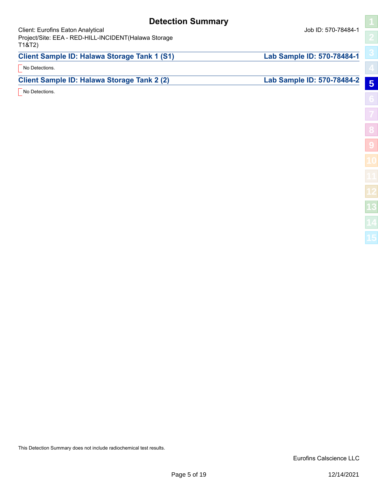### **Detection Summary**

<span id="page-4-0"></span>Client: Eurofins Eaton Analytical and Society and Society and Society and Society and Society and Job ID: 570-78484-1 Project/Site: EEA - RED-HILL-INCIDENT(Halawa Storage T1&T2)

**[8](#page-8-0)**

**[9](#page-10-0)**

| T1&T2)                                       |                            |   |
|----------------------------------------------|----------------------------|---|
| Client Sample ID: Halawa Storage Tank 1 (S1) | Lab Sample ID: 570-78484-1 |   |
| No Detections.                               |                            |   |
| Client Sample ID: Halawa Storage Tank 2 (2)  | Lab Sample ID: 570-78484-2 | 5 |
| No Detections.                               |                            |   |
|                                              |                            |   |

This Detection Summary does not include radiochemical test results.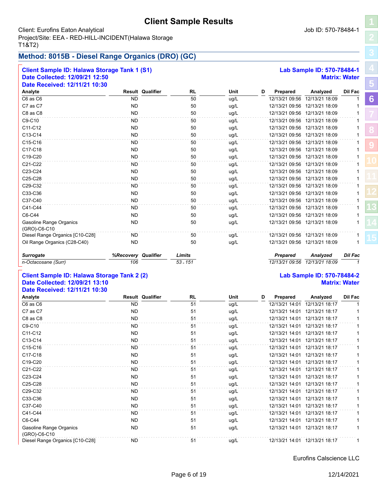### **Client Sample Results**

### <span id="page-5-0"></span>Client: Eurofins Eaton Analytical and Society and Society and Society and Society and Society and Job ID: 570-78484-1 Project/Site: EEA - RED-HILL-INCIDENT(Halawa Storage T1&T2)

### **Method: 8015B - Diesel Range Organics (DRO) (GC)**

| <b>Client Sample ID: Halawa Storage Tank 1 (S1)</b> |                     |                         | Lab Sample ID: 570-78484-1 |      |   |                 |                               |                      |  |
|-----------------------------------------------------|---------------------|-------------------------|----------------------------|------|---|-----------------|-------------------------------|----------------------|--|
| Date Collected: 12/09/21 12:50                      |                     |                         |                            |      |   |                 |                               | <b>Matrix: Water</b> |  |
| Date Received: 12/11/21 10:30                       |                     |                         |                            |      |   |                 |                               |                      |  |
| Analyte                                             |                     | <b>Result Qualifier</b> | <b>RL</b>                  | Unit | D | Prepared        | Analyzed                      | <b>Dil Fac</b>       |  |
| C6 as C6                                            | <b>ND</b>           |                         | 50                         | ug/L |   | 12/13/21 09:56  | 12/13/21 18:09                |                      |  |
| C7 as C7                                            | <b>ND</b>           |                         | 50                         | ug/L |   | 12/13/21 09:56  | 12/13/21 18:09                |                      |  |
| C8 as C8                                            | <b>ND</b>           |                         | 50                         | ug/L |   | 12/13/21 09:56  | 12/13/21 18:09                |                      |  |
| C9-C10                                              | <b>ND</b>           |                         | 50                         | uq/L |   |                 | 12/13/21 09:56 12/13/21 18:09 |                      |  |
| C11-C12                                             | <b>ND</b>           |                         | 50                         | ug/L |   |                 | 12/13/21 09:56 12/13/21 18:09 |                      |  |
| C13-C14                                             | <b>ND</b>           |                         | 50                         | uq/L |   | 12/13/21 09:56  | 12/13/21 18:09                |                      |  |
| C15-C16                                             | <b>ND</b>           |                         | 50                         | ug/L |   |                 | 12/13/21 09:56 12/13/21 18:09 |                      |  |
| C17-C18                                             | <b>ND</b>           |                         | 50                         | uq/L |   |                 | 12/13/21 09:56 12/13/21 18:09 |                      |  |
| C19-C20                                             | <b>ND</b>           |                         | 50                         | uq/L |   | 12/13/21 09:56  | 12/13/21 18:09                |                      |  |
| C21-C22                                             | <b>ND</b>           |                         | 50                         | ug/L |   |                 | 12/13/21 09:56 12/13/21 18:09 |                      |  |
| C23-C24                                             | <b>ND</b>           |                         | 50                         | ug/L |   |                 | 12/13/21 09:56 12/13/21 18:09 |                      |  |
| C25-C28                                             | <b>ND</b>           |                         | 50                         | ug/L |   |                 | 12/13/21 09:56 12/13/21 18:09 |                      |  |
| C <sub>29</sub> -C <sub>32</sub>                    | <b>ND</b>           |                         | 50                         | ug/L |   |                 | 12/13/21 09:56 12/13/21 18:09 |                      |  |
| C33-C36                                             | <b>ND</b>           |                         | 50                         | uq/L |   | 12/13/21 09:56  | 12/13/21 18:09                |                      |  |
| C37-C40                                             | <b>ND</b>           |                         | 50                         | ug/L |   |                 | 12/13/21 09:56 12/13/21 18:09 |                      |  |
| C41-C44                                             | <b>ND</b>           |                         | 50                         | ug/L |   |                 | 12/13/21 09:56 12/13/21 18:09 |                      |  |
| C6-C44                                              | <b>ND</b>           |                         | 50                         | ug/L |   |                 | 12/13/21 09:56 12/13/21 18:09 |                      |  |
| Gasoline Range Organics<br>(GRO)-C6-C10             | <b>ND</b>           |                         | 50                         | ug/L |   |                 | 12/13/21 09:56 12/13/21 18:09 |                      |  |
| Diesel Range Organics [C10-C28]                     | <b>ND</b>           |                         | 50                         | ug/L |   |                 | 12/13/21 09:56 12/13/21 18:09 |                      |  |
| Oil Range Organics (C28-C40)                        | <b>ND</b>           |                         | 50                         | ug/L |   | 12/13/21 09:56  | 12/13/21 18:09                |                      |  |
| <b>Surrogate</b>                                    | %Recovery Qualifier |                         | Limits                     |      |   | <b>Prepared</b> | Analyzed                      | <b>Dil Fac</b>       |  |
| n-Octacosane (Surr)                                 | 106                 |                         | $53 - 151$                 |      |   | 12/13/21 09:56  | 12/13/21 18:09                | 1                    |  |

### **Client Sample ID: Halawa Storage Tank 2 (2) Lab Sample ID: 570-78484-2 Date Collected: 12/09/21 13:10 Matrix: Water Date Received: 12/11/21 10:30**

|           | <b>RL</b>               | Unit | D | Prepared       | Analyzed       | Dil Fac |
|-----------|-------------------------|------|---|----------------|----------------|---------|
| ND.       | 51                      | ug/L |   | 12/13/21 14:01 | 12/13/21 18:17 |         |
| ND.       | 51                      | ug/L |   | 12/13/21 14:01 | 12/13/21 18:17 |         |
| <b>ND</b> | 51                      | ug/L |   | 12/13/21 14:01 | 12/13/21 18:17 |         |
| ND.       | 51                      | ug/L |   | 12/13/21 14:01 | 12/13/21 18:17 |         |
| ND.       | 51                      | ug/L |   | 12/13/21 14:01 | 12/13/21 18:17 |         |
| <b>ND</b> | 51                      | ug/L |   | 12/13/21 14:01 | 12/13/21 18:17 |         |
| ND.       | 51                      | ug/L |   | 12/13/21 14:01 | 12/13/21 18:17 |         |
| <b>ND</b> | 51                      | ug/L |   | 12/13/21 14:01 | 12/13/21 18:17 |         |
| ND.       | 51                      | ug/L |   | 12/13/21 14:01 | 12/13/21 18:17 |         |
| ND.       | 51                      | ug/L |   | 12/13/21 14:01 | 12/13/21 18:17 |         |
| ND.       | 51                      | ug/L |   | 12/13/21 14:01 | 12/13/21 18:17 |         |
| <b>ND</b> | 51                      | ug/L |   | 12/13/21 14:01 | 12/13/21 18:17 |         |
| ND.       | 51                      | ug/L |   | 12/13/21 14:01 | 12/13/21 18:17 |         |
| ND.       | 51                      | ug/L |   | 12/13/21 14:01 | 12/13/21 18:17 |         |
| <b>ND</b> | 51                      | ug/L |   | 12/13/21 14:01 | 12/13/21 18:17 |         |
| ND.       | 51                      | ug/L |   | 12/13/21 14:01 | 12/13/21 18:17 |         |
| ND.       | 51                      | ug/L |   | 12/13/21 14:01 | 12/13/21 18:17 |         |
| ND.       | 51                      | ug/L |   | 12/13/21 14:01 | 12/13/21 18:17 |         |
| ND.       | 51                      | ug/L |   | 12/13/21 14:01 | 12/13/21 18:17 |         |
|           | <b>Result Qualifier</b> |      |   |                |                |         |

### Eurofins Calscience LLC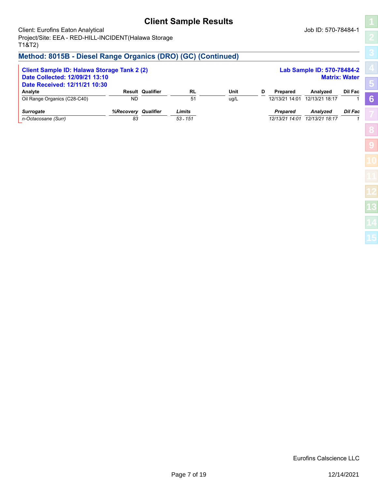### **Client Sample Results**

Client: Eurofins Eaton Analytical and Society and Society and Society and Society and Society and Job ID: 570-78484-1 Project/Site: EEA - RED-HILL-INCIDENT(Halawa Storage T1&T2)

### **Method: 8015B - Diesel Range Organics (DRO) (GC) (Continued)**

| Lab Sample ID: 570-78484-2<br><b>Client Sample ID: Halawa Storage Tank 2 (2)</b><br>Date Collected: 12/09/21 13:10<br><b>Matrix: Water</b><br>Date Received: 12/11/21 10:30 |                        |                         |                      |              |   |                                   |                                   |                |
|-----------------------------------------------------------------------------------------------------------------------------------------------------------------------------|------------------------|-------------------------|----------------------|--------------|---|-----------------------------------|-----------------------------------|----------------|
| Analyte<br>Oil Range Organics (C28-C40)                                                                                                                                     | <b>ND</b>              | <b>Result Qualifier</b> | RL<br>51             | Unit<br>uq/L | D | Prepared<br>12/13/21 14:01        | Analyzed<br>12/13/21 18:17        | Dil Fac        |
| <b>Surrogate</b><br>n-Octacosane (Surr)                                                                                                                                     | <b>%Recoverv</b><br>83 | Qualifier               | Limits<br>$53 - 151$ |              |   | <b>Prepared</b><br>12/13/21 14:01 | <b>Analvzed</b><br>12/13/21 18:17 | <b>Dil Fac</b> |

Eurofins Calscience LLC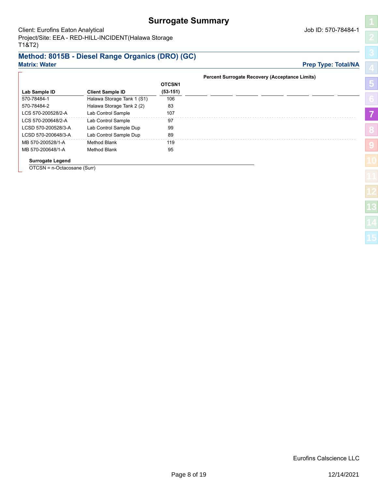### **Surrogate Summary**

## **[5](#page-4-0)**

### <span id="page-7-0"></span>**Method: 8015B - Diesel Range Organics (DRO) (GC) Matrix: Water Prep Type: Total/NA**

|                         |                            |                    | <b>Percent Surrogate Recovery (Acceptance Limits)</b> |                |
|-------------------------|----------------------------|--------------------|-------------------------------------------------------|----------------|
|                         |                            | OTCSN <sub>1</sub> |                                                       | $\overline{5}$ |
| Lab Sample ID           | <b>Client Sample ID</b>    | $(53-151)$         |                                                       |                |
| 570-78484-1             | Halawa Storage Tank 1 (S1) | 106                |                                                       |                |
| 570-78484-2             | Halawa Storage Tank 2 (2)  | 83                 |                                                       |                |
| LCS 570-200528/2-A      | Lab Control Sample         | 107                |                                                       |                |
| LCS 570-200648/2-A      | Lab Control Sample         | 97                 |                                                       |                |
| LCSD 570-200528/3-A     | Lab Control Sample Dup     | 99                 |                                                       |                |
| LCSD 570-200648/3-A     | Lab Control Sample Dup     | 89                 |                                                       |                |
| MB 570-200528/1-A       | Method Blank               | 119                |                                                       |                |
| MB 570-200648/1-A       | Method Blank               | 95                 |                                                       |                |
| <b>Surrogate Legend</b> |                            |                    |                                                       |                |

OTCSN = n-Octacosane (Surr)

Eurofins Calscience LLC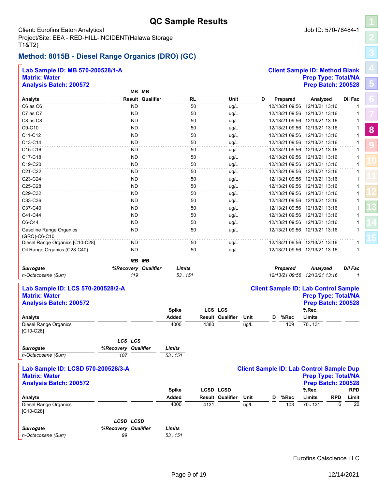### **QC Sample Results**

### <span id="page-8-0"></span>Client: Eurofins Eaton Analytical and Society and Society and Society and Society and Society and Job ID: 570-78484-1 Project/Site: EEA - RED-HILL-INCIDENT(Halawa Storage T1&T2)

### **Method: 8015B - Diesel Range Organics (DRO) (GC)**

| Lab Sample ID: MB 570-200528/1-A        |                     |           |                         |                    |      |                         |      |   |                 | <b>Client Sample ID: Method Blank</b>           |              |
|-----------------------------------------|---------------------|-----------|-------------------------|--------------------|------|-------------------------|------|---|-----------------|-------------------------------------------------|--------------|
| <b>Matrix: Water</b>                    |                     |           |                         |                    |      |                         |      |   |                 | <b>Prep Type: Total/NA</b>                      |              |
| <b>Analysis Batch: 200572</b>           |                     |           |                         |                    |      |                         |      |   |                 | <b>Prep Batch: 200528</b>                       |              |
|                                         |                     | MB MB     |                         |                    |      |                         |      |   |                 |                                                 |              |
| Analyte                                 |                     |           | <b>Result Qualifier</b> | <b>RL</b>          |      | Unit                    | D    |   | Prepared        | Analyzed                                        | Dil Fac      |
| C6 as C6                                |                     | <b>ND</b> |                         | 50                 |      | ug/L                    |      |   | 12/13/21 09:56  | 12/13/21 13:16                                  | 1            |
| C7 as C7                                |                     | ND        |                         | 50                 |      | ug/L                    |      |   |                 | 12/13/21 09:56 12/13/21 13:16                   | 1            |
| C8 as C8                                |                     | <b>ND</b> |                         | 50                 |      | ug/L                    |      |   |                 | 12/13/21 09:56 12/13/21 13:16                   | 1            |
| C9-C10                                  |                     | <b>ND</b> |                         | 50                 |      | ug/L                    |      |   |                 | 12/13/21 09:56 12/13/21 13:16                   | $\mathbf{1}$ |
| C11-C12                                 |                     | <b>ND</b> |                         | 50                 |      | ug/L                    |      |   |                 | 12/13/21 09:56 12/13/21 13:16                   | 1            |
| C13-C14                                 |                     | ND        |                         | 50                 |      | ug/L                    |      |   |                 | 12/13/21 09:56 12/13/21 13:16                   | 1            |
| C15-C16                                 |                     | <b>ND</b> |                         | 50                 |      | ug/L                    |      |   |                 | 12/13/21 09:56 12/13/21 13:16                   | $\mathbf{1}$ |
| C17-C18                                 |                     | <b>ND</b> |                         | 50                 |      | ug/L                    |      |   |                 | 12/13/21 09:56 12/13/21 13:16                   | 1            |
| C19-C20                                 |                     | ND        |                         | 50                 |      | ug/L                    |      |   |                 | 12/13/21 09:56 12/13/21 13:16                   | 1            |
| C21-C22                                 |                     | ND        |                         | 50                 |      | ug/L                    |      |   |                 | 12/13/21 09:56 12/13/21 13:16                   | $\mathbf{1}$ |
| C23-C24                                 |                     | <b>ND</b> |                         | 50                 |      | ug/L                    |      |   |                 | 12/13/21 09:56 12/13/21 13:16                   | 1            |
| C25-C28                                 |                     | <b>ND</b> |                         | 50                 |      | ug/L                    |      |   |                 | 12/13/21 09:56 12/13/21 13:16                   | 1            |
| C29-C32                                 |                     | ND        |                         | 50                 |      | ug/L                    |      |   |                 | 12/13/21 09:56 12/13/21 13:16                   | 1            |
| C33-C36                                 |                     | <b>ND</b> |                         | 50                 |      | ug/L                    |      |   |                 | 12/13/21 09:56 12/13/21 13:16                   | 1            |
| C37-C40                                 |                     | <b>ND</b> |                         | 50                 |      | ug/L                    |      |   |                 | 12/13/21 09:56 12/13/21 13:16                   | 1            |
| C41-C44                                 |                     | ND        |                         | 50                 |      | ug/L                    |      |   |                 | 12/13/21 09:56 12/13/21 13:16                   | 1            |
| C6-C44                                  |                     | <b>ND</b> |                         | 50                 |      | ug/L                    |      |   |                 | 12/13/21 09:56 12/13/21 13:16                   | 1            |
|                                         |                     | <b>ND</b> |                         | 50                 |      |                         |      |   |                 | 12/13/21 09:56 12/13/21 13:16                   | 1            |
| Gasoline Range Organics<br>(GRO)-C6-C10 |                     |           |                         |                    |      | ug/L                    |      |   |                 |                                                 |              |
| Diesel Range Organics [C10-C28]         |                     | <b>ND</b> |                         | 50                 |      | ug/L                    |      |   |                 | 12/13/21 09:56 12/13/21 13:16                   | $\mathbf{1}$ |
| Oil Range Organics (C28-C40)            |                     | <b>ND</b> |                         | 50                 |      | ug/L                    |      |   |                 | 12/13/21 09:56 12/13/21 13:16                   | 1            |
|                                         |                     |           | MB MB                   |                    |      |                         |      |   |                 |                                                 |              |
| <b>Surrogate</b>                        |                     |           | %Recovery Qualifier     | Limits             |      |                         |      |   | <b>Prepared</b> | Analyzed                                        | Dil Fac      |
| n-Octacosane (Surr)                     |                     | 119       |                         | $53 - 151$         |      |                         |      |   |                 | 12/13/21 09:56 12/13/21 13:16                   | 1            |
|                                         |                     |           |                         |                    |      |                         |      |   |                 |                                                 |              |
| Lab Sample ID: LCS 570-200528/2-A       |                     |           |                         |                    |      |                         |      |   |                 | <b>Client Sample ID: Lab Control Sample</b>     |              |
| <b>Matrix: Water</b>                    |                     |           |                         |                    |      |                         |      |   |                 | <b>Prep Type: Total/NA</b>                      |              |
| <b>Analysis Batch: 200572</b>           |                     |           |                         |                    |      |                         |      |   |                 | <b>Prep Batch: 200528</b>                       |              |
|                                         |                     |           |                         | <b>Spike</b>       |      | LCS LCS                 |      |   |                 | %Rec.                                           |              |
| Analyte                                 |                     |           |                         | Added              |      | <b>Result Qualifier</b> | Unit | D | %Rec            | Limits                                          |              |
| Diesel Range Organics                   |                     |           |                         | 4000               | 4380 |                         | ug/L |   | 109             | 70 - 131                                        |              |
| $[C10-C28]$                             |                     |           |                         |                    |      |                         |      |   |                 |                                                 |              |
|                                         |                     |           |                         |                    |      |                         |      |   |                 |                                                 |              |
|                                         | LCS LCS             |           |                         |                    |      |                         |      |   |                 |                                                 |              |
| <b>Surrogate</b>                        | %Recovery Qualifier |           |                         | Limits<br>53 - 151 |      |                         |      |   |                 |                                                 |              |
| n-Octacosane (Surr)                     | 107                 |           |                         |                    |      |                         |      |   |                 |                                                 |              |
| Lab Sample ID: LCSD 570-200528/3-A      |                     |           |                         |                    |      |                         |      |   |                 | <b>Client Sample ID: Lab Control Sample Dup</b> |              |
| <b>Matrix: Water</b>                    |                     |           |                         |                    |      |                         |      |   |                 | <b>Prep Type: Total/NA</b>                      |              |
| <b>Analysis Batch: 200572</b>           |                     |           |                         |                    |      |                         |      |   |                 | <b>Prep Batch: 200528</b>                       |              |
|                                         |                     |           |                         | <b>Spike</b>       |      | <b>LCSD LCSD</b>        |      |   |                 | %Rec.                                           | <b>RPD</b>   |
| Analyte                                 |                     |           |                         | Added              |      | <b>Result Qualifier</b> | Unit |   | %Rec            | Limits<br><b>RPD</b>                            | Limit        |
| <b>Diesel Range Organics</b>            |                     |           |                         | 4000               | 4131 |                         | ug/L | D | 103             | 70.131                                          | 6<br>20      |
| $[C10-C28]$                             |                     |           |                         |                    |      |                         |      |   |                 |                                                 |              |
|                                         |                     |           |                         |                    |      |                         |      |   |                 |                                                 |              |
|                                         | <b>LCSD LCSD</b>    |           |                         |                    |      |                         |      |   |                 |                                                 |              |
| Surrogate                               | %Recovery Qualifier |           |                         | Limits             |      |                         |      |   |                 |                                                 |              |
| n-Octacosane (Surr)                     | 99                  |           |                         | $53 - 151$         |      |                         |      |   |                 |                                                 |              |

Eurofins Calscience LLC

**[5](#page-4-0)**

**[8](#page-8-0)**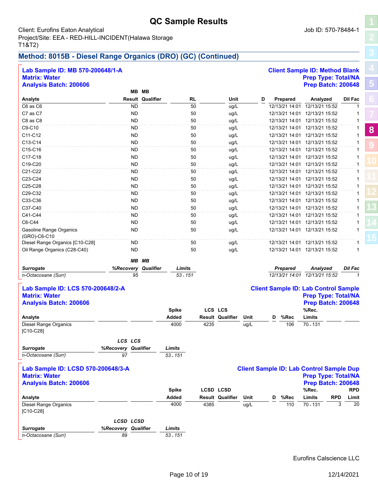### **QC Sample Results**

### Client: Eurofins Eaton Analytical and Society and Society and Society and Society and Society and Job ID: 570-78484-1 Project/Site: EEA - RED-HILL-INCIDENT(Halawa Storage T1&T2)

*Surrogate*

*n-Octacosane (Surr) 53 - 151*

*89*

*%Recovery Qualifier Limits*

### **Method: 8015B - Diesel Range Organics (DRO) (GC) (Continued)**

| Lab Sample ID: MB 570-200648/1-A               |                            |                         |              |      |                         |      |   |                 | <b>Client Sample ID: Method Blank</b>           |                     |   |
|------------------------------------------------|----------------------------|-------------------------|--------------|------|-------------------------|------|---|-----------------|-------------------------------------------------|---------------------|---|
| <b>Matrix: Water</b>                           |                            |                         |              |      |                         |      |   |                 | <b>Prep Type: Total/NA</b>                      |                     |   |
| <b>Analysis Batch: 200606</b>                  |                            |                         |              |      |                         |      |   |                 | Prep Batch: 200648                              |                     |   |
|                                                |                            | MB MB                   |              |      |                         |      |   |                 |                                                 |                     |   |
| Analyte                                        |                            | <b>Result Qualifier</b> | RL           |      | Unit                    | D    |   | Prepared        | Analyzed                                        | <b>Dil Fac</b>      |   |
| C6 as C6                                       |                            | <b>ND</b>               | 50           |      | ug/L                    |      |   | 12/13/21 14:01  | 12/13/21 15:52                                  | 1                   |   |
| C7 as C7                                       |                            | <b>ND</b>               | 50           |      | ug/L                    |      |   | 12/13/21 14:01  | 12/13/21 15:52                                  | 1                   |   |
| C8 as C8                                       |                            | <b>ND</b>               | 50           |      | ug/L                    |      |   |                 | 12/13/21 14:01 12/13/21 15:52                   | 1                   |   |
| C9-C10                                         |                            | <b>ND</b>               | 50           |      | ug/L                    |      |   |                 | 12/13/21 14:01 12/13/21 15:52                   | 1                   | 8 |
| C11-C12                                        |                            | <b>ND</b>               | 50           |      | ug/L                    |      |   |                 | 12/13/21 14:01 12/13/21 15:52                   | $\mathbf{1}$        |   |
| C13-C14                                        |                            | <b>ND</b>               | 50           |      | ug/L                    |      |   |                 | 12/13/21 14:01 12/13/21 15:52                   | 1                   |   |
| C15-C16                                        |                            | <b>ND</b>               | 50           |      | ug/L                    |      |   |                 | 12/13/21 14:01 12/13/21 15:52                   |                     |   |
| C17-C18                                        |                            | <b>ND</b>               | 50           |      | ug/L                    |      |   |                 | 12/13/21 14:01 12/13/21 15:52                   | 1                   |   |
| C19-C20                                        |                            | <b>ND</b>               | 50           |      | ug/L                    |      |   |                 | 12/13/21 14:01 12/13/21 15:52                   |                     |   |
| C21-C22                                        |                            | ND                      | 50           |      | ug/L                    |      |   |                 | 12/13/21 14:01 12/13/21 15:52                   | 1                   |   |
| C23-C24                                        |                            | ND.                     | 50           |      | ug/L                    |      |   |                 | 12/13/21 14:01 12/13/21 15:52                   | 1                   |   |
| C <sub>25</sub> -C <sub>28</sub>               |                            | <b>ND</b>               | 50           |      | ug/L                    |      |   |                 | 12/13/21 14:01 12/13/21 15:52                   | 1                   |   |
| C29-C32                                        |                            | <b>ND</b>               | 50           |      | ug/L                    |      |   |                 | 12/13/21 14:01 12/13/21 15:52                   | $\mathbf{1}$        |   |
| C33-C36                                        |                            | ND                      | 50           |      | ug/L                    |      |   |                 | 12/13/21 14:01 12/13/21 15:52                   | 1                   |   |
| C37-C40                                        |                            | <b>ND</b>               | 50           |      | ug/L                    |      |   |                 | 12/13/21 14:01 12/13/21 15:52                   | $\mathbf{1}$        |   |
| C41-C44                                        |                            | <b>ND</b>               | 50           |      | ug/L                    |      |   |                 | 12/13/21 14:01 12/13/21 15:52                   | 1                   |   |
| C6-C44                                         |                            | <b>ND</b>               | 50           |      | ug/L                    |      |   |                 | 12/13/21 14:01 12/13/21 15:52                   | 1                   |   |
|                                                |                            | <b>ND</b>               | 50           |      |                         |      |   |                 | 12/13/21 14:01 12/13/21 15:52                   | $\mathbf{1}$        |   |
| <b>Gasoline Range Organics</b><br>(GRO)-C6-C10 |                            |                         |              |      | ug/L                    |      |   |                 |                                                 |                     |   |
| Diesel Range Organics [C10-C28]                |                            | ND                      | 50           |      | ug/L                    |      |   |                 | 12/13/21 14:01 12/13/21 15:52                   |                     |   |
| Oil Range Organics (C28-C40)                   |                            | <b>ND</b>               | 50           |      | ug/L                    |      |   |                 | 12/13/21 14:01 12/13/21 15:52                   | 1                   |   |
|                                                |                            | MВ<br>MВ                |              |      |                         |      |   |                 |                                                 |                     |   |
| <b>Surrogate</b>                               | %Recovery                  | Qualifier               | Limits       |      |                         |      |   | <b>Prepared</b> | Analyzed                                        | Dil Fac             |   |
| n-Octacosane (Surr)                            |                            | 95                      | 53 - 151     |      |                         |      |   |                 | 12/13/21 14:01 12/13/21 15:52                   | $\mathbf{1}$        |   |
|                                                |                            |                         |              |      |                         |      |   |                 |                                                 |                     |   |
| Lab Sample ID: LCS 570-200648/2-A              |                            |                         |              |      |                         |      |   |                 | <b>Client Sample ID: Lab Control Sample</b>     |                     |   |
| <b>Matrix: Water</b>                           |                            |                         |              |      |                         |      |   |                 | <b>Prep Type: Total/NA</b>                      |                     |   |
| <b>Analysis Batch: 200606</b>                  |                            |                         |              |      |                         |      |   |                 | Prep Batch: 200648                              |                     |   |
|                                                |                            |                         | Spike        |      | LCS LCS                 |      |   |                 | %Rec.                                           |                     |   |
| Analyte                                        |                            |                         | Added        |      | Result Qualifier        | Unit | D | %Rec            | Limits                                          |                     |   |
| Diesel Range Organics<br>[C10-C28]             |                            |                         | 4000         | 4235 |                         | ug/L |   | 106             | 70 - 131                                        |                     |   |
|                                                |                            |                         |              |      |                         |      |   |                 |                                                 |                     |   |
|                                                | LCS LCS                    |                         |              |      |                         |      |   |                 |                                                 |                     |   |
| <b>Surrogate</b>                               | <b>%Recovery Qualifier</b> |                         | Limits       |      |                         |      |   |                 |                                                 |                     |   |
| n-Octacosane (Surr)                            | 97                         |                         | $53 - 151$   |      |                         |      |   |                 |                                                 |                     |   |
| Lab Sample ID: LCSD 570-200648/3-A             |                            |                         |              |      |                         |      |   |                 | <b>Client Sample ID: Lab Control Sample Dup</b> |                     |   |
| <b>Matrix: Water</b>                           |                            |                         |              |      |                         |      |   |                 | <b>Prep Type: Total/NA</b>                      |                     |   |
| <b>Analysis Batch: 200606</b>                  |                            |                         |              |      |                         |      |   |                 | <b>Prep Batch: 200648</b>                       |                     |   |
|                                                |                            |                         | <b>Spike</b> |      | <b>LCSD LCSD</b>        |      |   |                 | %Rec.                                           | <b>RPD</b>          |   |
| Analyte                                        |                            |                         | Added        |      | <b>Result Qualifier</b> | Unit | D | %Rec            | Limits                                          | <b>RPD</b><br>Limit |   |
| <b>Diesel Range Organics</b>                   |                            |                         | 4000         | 4385 |                         | ug/L |   | 110             | 70 - 131                                        | 20<br>3             |   |
| $[C10-C28]$                                    |                            |                         |              |      |                         |      |   |                 |                                                 |                     |   |
|                                                | <b>LCSD LCSD</b>           |                         |              |      |                         |      |   |                 |                                                 |                     |   |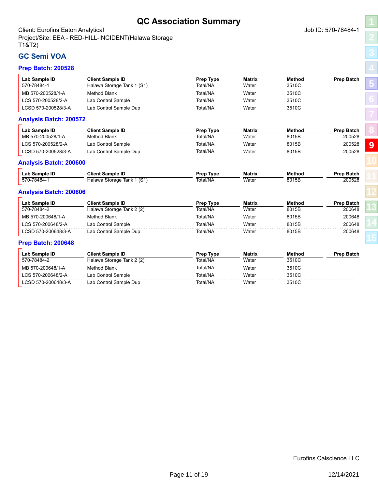### **QC Association Summary**

<span id="page-10-0"></span>Client: Eurofins Eaton Analytical and Society and Society and Society and Society and Society and Job ID: 570-78484-1 Project/Site: EEA - RED-HILL-INCIDENT(Halawa Storage T1&T2)

# **[5](#page-4-0)**

**[8](#page-8-0) [9](#page-10-0)**

### **GC Semi VOA Prep Batch: 200528**

| Lab Sample ID                 | <b>Client Sample ID</b>    | Prep Type        | <b>Matrix</b> | <b>Method</b> | <b>Prep Batch</b> |
|-------------------------------|----------------------------|------------------|---------------|---------------|-------------------|
| 570-78484-1                   | Halawa Storage Tank 1 (S1) | Total/NA         | Water         | 3510C         |                   |
| MB 570-200528/1-A             | <b>Method Blank</b>        | Total/NA         | Water         | 3510C         |                   |
| LCS 570-200528/2-A            | Lab Control Sample         | Total/NA         | Water         | 3510C         |                   |
| LCSD 570-200528/3-A           | Lab Control Sample Dup     | Total/NA         | Water         | 3510C         |                   |
| <b>Analysis Batch: 200572</b> |                            |                  |               |               |                   |
| Lab Sample ID                 | <b>Client Sample ID</b>    | Prep Type        | <b>Matrix</b> | <b>Method</b> | <b>Prep Batch</b> |
| MB 570-200528/1-A             | <b>Method Blank</b>        | Total/NA         | Water         | 8015B         | 200528            |
| LCS 570-200528/2-A            | Lab Control Sample         | Total/NA         | Water         | 8015B         | 200528            |
| LCSD 570-200528/3-A           | Lab Control Sample Dup     | Total/NA         | Water         | 8015B         | 200528            |
| <b>Analysis Batch: 200600</b> |                            |                  |               |               |                   |
| Lab Sample ID                 | <b>Client Sample ID</b>    | <b>Prep Type</b> | <b>Matrix</b> | <b>Method</b> | <b>Prep Batch</b> |
| 570-78484-1                   | Halawa Storage Tank 1 (S1) | Total/NA         | Water         | 8015B         | 200528            |
| <b>Analysis Batch: 200606</b> |                            |                  |               |               |                   |
| Lab Sample ID                 | <b>Client Sample ID</b>    | Prep Type        | <b>Matrix</b> | <b>Method</b> | <b>Prep Batch</b> |
| 570-78484-2                   | Halawa Storage Tank 2 (2)  | Total/NA         | Water         | 8015B         | 200648            |
| MB 570-200648/1-A             | <b>Method Blank</b>        | Total/NA         | Water         | 8015B         | 200648            |
| LCS 570-200648/2-A            | Lab Control Sample         | Total/NA         | Water         | 8015B         | 200648            |
| LCSD 570-200648/3-A           | Lab Control Sample Dup     | Total/NA         | Water         | 8015B         | 200648            |
| <b>Prep Batch: 200648</b>     |                            |                  |               |               |                   |
| Lab Sample ID                 | <b>Client Sample ID</b>    | Prep Type        | <b>Matrix</b> | <b>Method</b> | <b>Prep Batch</b> |
| 570-78484-2                   | Halawa Storage Tank 2 (2)  | Total/NA         | Water         | 3510C         |                   |
| MB 570-200648/1-A             | <b>Method Blank</b>        | Total/NA         | Water         | 3510C         |                   |
| LCS 570-200648/2-A            | Lab Control Sample         | Total/NA         | Water         | 3510C         |                   |
| LCSD 570-200648/3-A           | Lab Control Sample Dup     | Total/NA         | Water         | 3510C         |                   |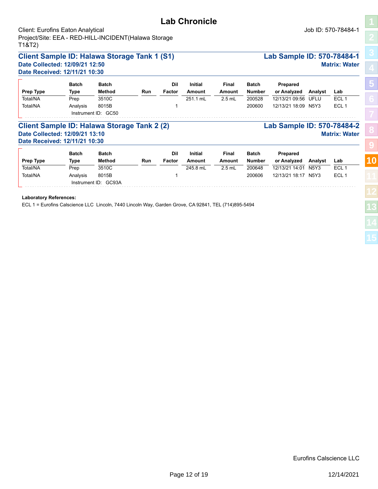<span id="page-11-0"></span>

| <b>Client: Eurofins Eaton Analytical</b><br>Project/Site: EEA - RED-HILL-INCIDENT(Halawa Storage<br>T1&T2) |              |                      |            |        |                |               |               |                            |                               | Job ID: 570-78484-1  |    |
|------------------------------------------------------------------------------------------------------------|--------------|----------------------|------------|--------|----------------|---------------|---------------|----------------------------|-------------------------------|----------------------|----|
| <b>Client Sample ID: Halawa Storage Tank 1 (S1)</b>                                                        |              |                      |            |        |                |               |               | Lab Sample ID: 570-78484-1 |                               |                      |    |
| Date Collected: 12/09/21 12:50<br>Date Received: 12/11/21 10:30                                            |              |                      |            |        |                |               |               |                            |                               | <b>Matrix: Water</b> |    |
|                                                                                                            | <b>Batch</b> | <b>Batch</b>         |            | Dil    | <b>Initial</b> | Final         | <b>Batch</b>  | Prepared                   |                               |                      | 5  |
| Prep Type                                                                                                  | Type         | Method               | <b>Run</b> | Factor | <b>Amount</b>  | <b>Amount</b> | <b>Number</b> | or Analyzed                | Analyst                       | Lab                  |    |
| Total/NA                                                                                                   | Prep         | 3510C                |            |        | 251.1 mL       | $2.5$ mL      | 200528        | 12/13/21 09:56             | UFLU                          | ECL <sub>1</sub>     |    |
| Total/NA                                                                                                   | Analysis     | 8015B                |            |        |                |               | 200600        | 12/13/21 18:09 N5Y3        |                               | ECL <sub>1</sub>     |    |
|                                                                                                            |              | Instrument ID: GC50  |            |        |                |               |               |                            |                               |                      |    |
| Client Sample ID: Halawa Storage Tank 2 (2)<br>Date Collected: 12/09/21 13:10                              |              |                      |            |        |                |               |               | Lab Sample ID: 570-78484-2 |                               | <b>Matrix: Water</b> |    |
| Date Received: 12/11/21 10:30                                                                              |              |                      |            |        |                |               |               |                            |                               |                      |    |
|                                                                                                            | <b>Batch</b> | <b>Batch</b>         |            | Dil    | <b>Initial</b> | Final         | <b>Batch</b>  | Prepared                   |                               |                      |    |
| Prep Type                                                                                                  | Type         | Method               | Run        | Factor | Amount         | Amount        | <b>Number</b> | or Analyzed                | Analyst                       | Lab                  | 10 |
| Total/NA                                                                                                   | Prep         | 3510C                |            |        | 245.8 mL       | $2.5$ mL      | 200648        | 12/13/21 14:01             | N <sub>5</sub> Y <sub>3</sub> | ECL <sub>1</sub>     |    |
| Total/NA                                                                                                   | Analysis     | 8015B                |            |        |                |               | 200606        | 12/13/21 18:17 N5Y3        |                               | ECL <sub>1</sub>     |    |
|                                                                                                            |              | Instrument ID: GC93A |            |        |                |               |               |                            |                               |                      |    |
|                                                                                                            |              |                      |            |        |                |               |               |                            |                               |                      |    |

### **Laboratory References:**

ECL 1 = Eurofins Calscience LLC Lincoln, 7440 Lincoln Way, Garden Grove, CA 92841, TEL (714)895-5494

### **Lab Chronicle**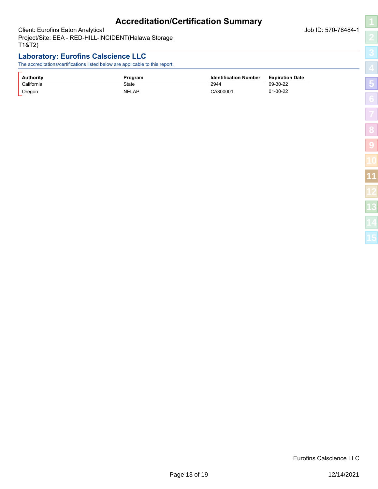### **Accreditation/Certification Summary**

<span id="page-12-0"></span>Client: Eurofins Eaton Analytical and Society and Society and Society and Society and Society and Job ID: 570-78484-1 Project/Site: EEA - RED-HILL-INCIDENT(Halawa Storage T1&T2)

### **Laboratory: Eurofins Calscience LLC**

The accreditations/certifications listed below are applicable to this report.

| <b>Authority</b> | Program      | <b>Identification Number</b> | <b>Expiration Date</b> |
|------------------|--------------|------------------------------|------------------------|
| California       | State        | 2944                         | 09-30-22               |
| Oregon           | <b>NELAP</b> | CA300001                     | $01-30-22$             |

Eurofins Calscience LLC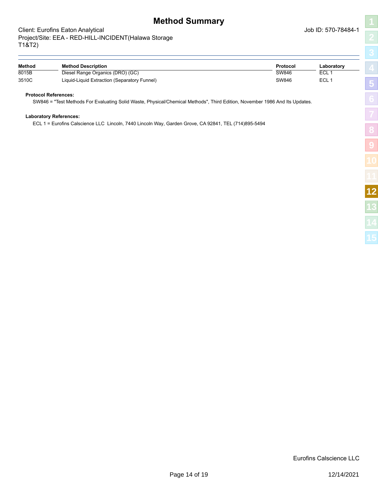### <span id="page-13-0"></span>Client: Eurofins Eaton Analytical and Society and Society and Society and Society and Society and Job ID: 570-78484-1 Project/Site: EEA - RED-HILL-INCIDENT(Halawa Storage T1&T2)

| I                                                                                                 |
|---------------------------------------------------------------------------------------------------|
|                                                                                                   |
|                                                                                                   |
| ֖֖֖֖ׅ֖֖֧֧֧֧֦֧֧֪֪֪֪֪֪֪֪֪֪֪֪֪֪֪֪֪֪֪֪֪֪֪֪֪֚֚֚֚֚֚֚֚֚֚֚֚֚֚֚֚֚֚֬֡֡֓֡֡֬֝֬֝֓֡֬֓֡֬֓֡֬֓֞֬֓֡֬֓֝֬֝֬֞֬֞֓֞֬֝֬֞֓ |
|                                                                                                   |
| Ï<br>l                                                                                            |
|                                                                                                   |
|                                                                                                   |
| ו<br>ו<br>j                                                                                       |
| I                                                                                                 |
| í                                                                                                 |
| İ                                                                                                 |
|                                                                                                   |

| Method | <b>Method Description</b>                    | Protocol | Laboratory |
|--------|----------------------------------------------|----------|------------|
| 8015B  | Diesel Range Organics (DRO) (GC)             | SW846    | <b>ECL</b> |
| 3510C  | Liquid-Liquid Extraction (Separatory Funnel) | SW846    | ECL.       |

### **Protocol References:**

SW846 = "Test Methods For Evaluating Solid Waste, Physical/Chemical Methods", Third Edition, November 1986 And Its Updates.

#### **Laboratory References:**

ECL 1 = Eurofins Calscience LLC Lincoln, 7440 Lincoln Way, Garden Grove, CA 92841, TEL (714)895-5494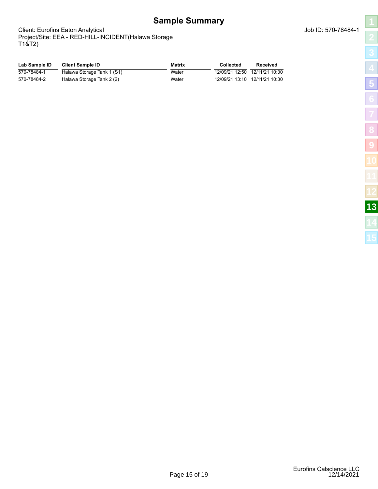**Sample Summary**

**Lab Sample ID Client Sample ID Matrix Collected Received** 570-78484-1 
Halawa Storage Tank 1 (S1) 
Water 
Water 12/09/21 12:50 12/11/21 10:30 570-78484-2 Halawa Storage Tank 2 (2) Water 12/09/21 13:10 12/11/21 10:30

<span id="page-14-0"></span>Client: Eurofins Eaton Analytical and Society and Society and Society and Society and Society and Job ID: 570-78484-1 Project/Site: EEA - RED-HILL-INCIDENT(Halawa Storage T1&T2)

| I<br>$\overline{1}$                |
|------------------------------------|
|                                    |
| l                                  |
|                                    |
|                                    |
| $\overline{\phantom{a}}$           |
| i<br>l<br>$\overline{\phantom{a}}$ |
| Í<br>I                             |
|                                    |
|                                    |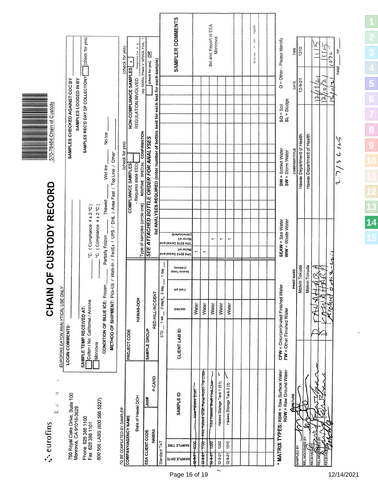<span id="page-15-0"></span>

|                      | Ш<br>A eurofins                                            |                                                                   |                                                                                       |                       |               |                          | CHAIN OF CUSTODY RECORD                                                                                                |                                                                                     | <u>Martin September 1999 – September 1999 – September 1999 – September 1999 – September 1999 – September 1999 – S</u><br>570-78484 Chain of Custody |               |                                                     |  |
|----------------------|------------------------------------------------------------|-------------------------------------------------------------------|---------------------------------------------------------------------------------------|-----------------------|---------------|--------------------------|------------------------------------------------------------------------------------------------------------------------|-------------------------------------------------------------------------------------|-----------------------------------------------------------------------------------------------------------------------------------------------------|---------------|-----------------------------------------------------|--|
|                      |                                                            | Ì<br>¢<br>Ч                                                       | EUROFINS EATON ANALYTICAL USE ONL                                                     |                       | خ             |                          |                                                                                                                        |                                                                                     |                                                                                                                                                     |               |                                                     |  |
|                      |                                                            |                                                                   | LOGIN COMMENTS-                                                                       |                       |               |                          |                                                                                                                        |                                                                                     | SAMPLES CHECKED AGAINST COC BY                                                                                                                      |               |                                                     |  |
|                      | 750 Royal Oaks Drive, Suite 100<br>Monrovia, CA 91016-3629 |                                                                   |                                                                                       |                       |               |                          |                                                                                                                        |                                                                                     | SAMPLES LOGGED IN BY                                                                                                                                |               |                                                     |  |
|                      |                                                            |                                                                   | SAMPLE TEMP RECEIVED AT:                                                              |                       |               |                          |                                                                                                                        |                                                                                     | SAMPLES REC'D DAY OF COLLECTION?                                                                                                                    |               | (check for yes)                                     |  |
|                      | Phone 626 386 1100<br>Fax 626 386 1101                     |                                                                   | Colton / No California / Arizona                                                      |                       |               |                          | (Compliance 4±2°C<br>ပ္ခ                                                                                               |                                                                                     |                                                                                                                                                     |               |                                                     |  |
|                      | 800 566 LABS (800 566 5227)                                |                                                                   | Monrovia                                                                              |                       |               |                          | °C (Compliance 4 ± 2 °C)                                                                                               |                                                                                     |                                                                                                                                                     |               |                                                     |  |
|                      |                                                            |                                                                   | CONDITION OF BLUE ICE: Frozen                                                         |                       |               |                          | METHOD OF SHIPMENT: Pick-Up / Walk-In / FedEx / UPS / DHL / Area Fast / Top Line / Other<br>Thawed<br>Partially Frozen | Wet lce                                                                             | No Ice                                                                                                                                              |               |                                                     |  |
|                      |                                                            |                                                                   |                                                                                       |                       |               |                          |                                                                                                                        |                                                                                     |                                                                                                                                                     |               |                                                     |  |
|                      | TO BE COMPLETED BY SAMPLER<br>COMPANYIAGENCY NAME          |                                                                   |                                                                                       |                       |               |                          |                                                                                                                        | (check for yes)                                                                     |                                                                                                                                                     |               | (check for yes)                                     |  |
|                      |                                                            |                                                                   | PROJECT CODE                                                                          |                       |               |                          |                                                                                                                        | <b>COMPLIANCE SAMPLES</b>                                                           | NON-COMPLIANCE SAMPLES                                                                                                                              |               | $\boldsymbol{\times}$                               |  |
|                      | State of Hawaii DOH                                        |                                                                   |                                                                                       | HAWAII-DOH            |               |                          | Type of samples (circle one)                                                                                           | ROUTINE SPECIAL CONFIRMATION<br>- Requires state EDD                                | REGULATION INVOLVED                                                                                                                                 |               | (eg. SDWA, Phase V NPDES, FDA,<br>Response Sat pl g |  |
| EEA CLIENT CODE      |                                                            | #doL                                                              | SAMPLE GROUP                                                                          |                       |               |                          |                                                                                                                        | SEE ATTACHED BOTTLE ORDER FOR ANALYSES                                              |                                                                                                                                                     |               | (check for yes), OR                                 |  |
|                      | HAWAII                                                     | <b>P-CARD</b>                                                     |                                                                                       | RED-HILL-INCIDENT     |               |                          |                                                                                                                        | list ANALYSES REQUIRED (enter number of bottles sent for each test for each sample) |                                                                                                                                                     |               |                                                     |  |
| Standard TAT         |                                                            |                                                                   | $\overline{\text{sn}}$                                                                | 1 wk __ 3 dayX_ 2 day |               | 1 day                    |                                                                                                                        |                                                                                     |                                                                                                                                                     |               |                                                     |  |
| <b>SAMPLE DATE</b>   | <b>SAMPLE TIME</b>                                         | <b>SAMPLE ID</b>                                                  | CLIENT LAB ID                                                                         | <b>XIRTAM</b>         | Hg blei i     | (cejania)<br>Source Temp | (betenitolda)<br>Motor oil<br>bns lesieQ 8108 H91<br>Motor oil<br>bns leeis0 cr08 H91                                  |                                                                                     |                                                                                                                                                     |               | SAMPLER COMMENTS                                    |  |
| स्करी                | se<br>P                                                    | Ailee Hatawa Straft                                               |                                                                                       | Water                 |               |                          |                                                                                                                        |                                                                                     |                                                                                                                                                     |               |                                                     |  |
| स्क्ष्म              | है                                                         | Alea Halawa Shar Pump Room Pre Chlor                              |                                                                                       |                       |               |                          |                                                                                                                        |                                                                                     |                                                                                                                                                     |               |                                                     |  |
|                      |                                                            |                                                                   |                                                                                       | Water                 |               |                          | $\overline{\phantom{0}}$                                                                                               |                                                                                     |                                                                                                                                                     |               |                                                     |  |
| स्किम                | $\frac{1}{2}$                                              | Alea Malawa Shaft Pest Chlor                                      |                                                                                       | Water                 |               |                          | $\mathbf{r}$                                                                                                           |                                                                                     |                                                                                                                                                     |               | Bill and Report to EEA<br>Monrovia                  |  |
| $12 - 9 - 21$        | 1250                                                       | V<br>Halawa Storage Tank 1 (S1)                                   |                                                                                       | Water                 |               |                          | $\overline{ }$                                                                                                         |                                                                                     |                                                                                                                                                     |               |                                                     |  |
| $12 - 9 - 21$        | 1310                                                       | Halawa Storage Tank 2 (2)                                         |                                                                                       | Water                 |               |                          | $\blacksquare$                                                                                                         |                                                                                     |                                                                                                                                                     |               |                                                     |  |
|                      |                                                            |                                                                   |                                                                                       |                       |               |                          |                                                                                                                        |                                                                                     |                                                                                                                                                     |               |                                                     |  |
|                      |                                                            |                                                                   |                                                                                       |                       |               |                          |                                                                                                                        |                                                                                     |                                                                                                                                                     |               |                                                     |  |
|                      |                                                            |                                                                   |                                                                                       |                       |               |                          |                                                                                                                        |                                                                                     |                                                                                                                                                     |               | mpatto<br>XGC<br>ę<br>en stusk                      |  |
|                      |                                                            |                                                                   |                                                                                       |                       |               |                          |                                                                                                                        |                                                                                     |                                                                                                                                                     |               |                                                     |  |
|                      |                                                            |                                                                   |                                                                                       |                       |               |                          |                                                                                                                        |                                                                                     |                                                                                                                                                     |               |                                                     |  |
|                      |                                                            | RGW = Raw Ground Water<br>* MATRIX TYPES: RSW = Raw Surface Water | $\mathsf{CFW}$ = Chlor(am)inated Finished Wat<br>$\mathsf{FW}$ = Other Finished Water |                       | ē             |                          | SEAW = Sea Water<br>WW = Waste Water                                                                                   | $BW = Botted Water$<br>$SW =$ Storm Water                                           | $SO = Soli$<br>$SL = Sludge$                                                                                                                        | Ō             | = Other - Please Identify                           |  |
|                      |                                                            | <b>AMATURE</b>                                                    |                                                                                       |                       | PRINT NAME    |                          |                                                                                                                        | COMPANY/TITLE                                                                       |                                                                                                                                                     | DATE          | TIME                                                |  |
| SAMPLED BY           |                                                            |                                                                   |                                                                                       |                       | Melvin Tokuda |                          |                                                                                                                        | Hawaii Department of Health                                                         |                                                                                                                                                     | $12 - 9 - 21$ | 1310                                                |  |
| RELINQUISHED BY      |                                                            |                                                                   |                                                                                       |                       | Melvin Tokuda |                          |                                                                                                                        | Hawaii Department of Health                                                         |                                                                                                                                                     |               |                                                     |  |
| RECEIVEDEY<br>RELINO |                                                            |                                                                   |                                                                                       | $\bar{z}$<br>メン       | ħ             |                          |                                                                                                                        |                                                                                     | ્ર                                                                                                                                                  | ۳             | 7                                                   |  |
| RECEIVED             |                                                            |                                                                   |                                                                                       |                       | YWK.          |                          |                                                                                                                        |                                                                                     |                                                                                                                                                     | Φ             |                                                     |  |
|                      |                                                            |                                                                   |                                                                                       | riense                |               | $2762 - 443$             |                                                                                                                        |                                                                                     |                                                                                                                                                     | لو<br>E       | Ò<br>្ត                                             |  |
|                      |                                                            |                                                                   |                                                                                       |                       |               |                          |                                                                                                                        | کر پر درک<br>م<br>لی                                                                |                                                                                                                                                     |               | ö,<br>PAGE,                                         |  |
|                      |                                                            |                                                                   |                                                                                       |                       |               |                          |                                                                                                                        |                                                                                     |                                                                                                                                                     |               |                                                     |  |

**[5](#page-4-0)**

**[8](#page-8-0)**

**[9](#page-10-0)**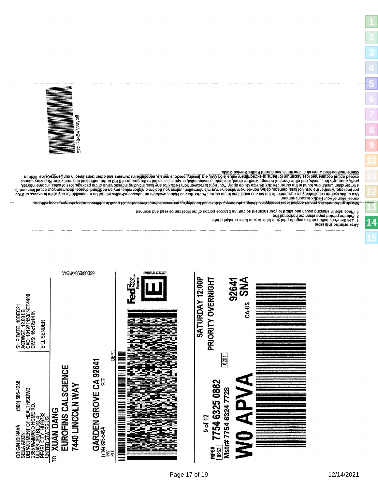

After printing this label

1 Use the Print button on this page to print your label to your laster or institute parcode portion of the label can be read and scanned.<br>2 Fold the printed page along the horizontal line<br>3 Place label in shipping pouc

cancement of your regist occunt number for the service conditions in the fedEx Service Guide, available on fedex.com.FedEx will not be responsible for any our registive of \$100 current and the tedEx Service conditions in t



**[13](#page-14-0)**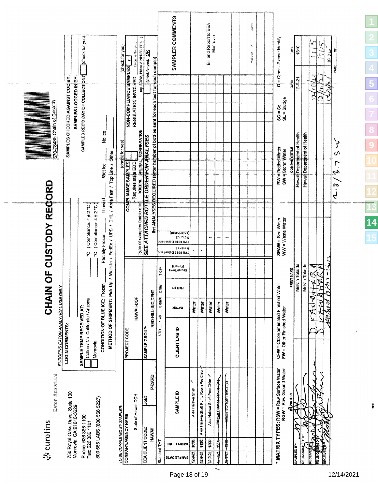|                            |                                                       |                                                            | (check for yes)                                              |                                                            |                                                                                          | (check for yes)                                            | Response Sat pling<br>×                                                         | (eg. SDWA, Phase V NPDES, FDA,<br>(check for yes), OR |                                                                                     | SAMPLER COMMENTS                                                                      |                   |                                        | <b>Bill and Report to EEA</b><br>Monrovia |                      |                           |  | rdriteg.<br>$\mathop{\mathfrak{K}}$<br>su's via |  | $O = O$ ther - Please Identify                                         | TIME                 | 1310                        |                            | Ā.                  | نبه<br>چا         | رے پڑ بھا                        | P,<br>PAGE                                                           |
|----------------------------|-------------------------------------------------------|------------------------------------------------------------|--------------------------------------------------------------|------------------------------------------------------------|------------------------------------------------------------------------------------------|------------------------------------------------------------|---------------------------------------------------------------------------------|-------------------------------------------------------|-------------------------------------------------------------------------------------|---------------------------------------------------------------------------------------|-------------------|----------------------------------------|-------------------------------------------|----------------------|---------------------------|--|-------------------------------------------------|--|------------------------------------------------------------------------|----------------------|-----------------------------|----------------------------|---------------------|-------------------|----------------------------------|----------------------------------------------------------------------|
|                            |                                                       | SAMPLES CHECKED AGAINST COC BY.<br>SAMPLES LOGGED IN BY:   | SAMPLES REC'D DAY OF COLLECTION?                             |                                                            |                                                                                          |                                                            | NON-COMPLIANCE SAMPLES<br>REGULATION INVOLVED                                   |                                                       |                                                                                     |                                                                                       |                   |                                        |                                           |                      |                           |  |                                                 |  | $SO = Sol\nSL = Sludge$                                                | DATE                 | $12 - 9 - 21$               |                            | ٣<br>स्             | Ď<br>$\mathbb{Z}$ |                                  |                                                                      |
| 570-78485 Chain of Custody |                                                       |                                                            |                                                              | No loe<br>Wet loe                                          |                                                                                          | (check for yes)                                            | ROUTINE SPECIAL CONFIRMATION<br>Requires state EDD<br><b>COMPLIANCE SAMPLES</b> | <b>SEE ATTACHED BOTTLE ORDER FOR ANALYSES</b>         | list ANALYSES REQUIRED (enter number of bottles sent for each test for each sample) |                                                                                       |                   |                                        |                                           |                      |                           |  |                                                 |  | BW=BottledWater<br>SW=Storm Water                                      | <b>COMPANY/TITLE</b> | Hawaii Department of Health | Hawai Department of Health |                     |                   |                                  | ぐら<br>$\sum_{i=1}^{n}$<br>$\tilde{\mathcal{L}}_{V}$<br>$\frac{3}{2}$ |
| OF CUSTODY RECORD          |                                                       |                                                            | Compliance 4 ± 2 °C<br><b>ب</b>                              | Thawed<br>(Compliance 4 ± 2 °C)<br>Partially Frozen<br>ပ္ပ | METHOD OF SHIPMENT: Pick-Up / Walk-In / FedEx / UPS / DHL / Area Fast / Top Line / Other |                                                            | Type of samples (circle one)                                                    |                                                       |                                                                                     | (betanitolds)<br>Motor oil<br>bns lesieQ &t08 H91<br>Motor oil<br>bns lesieQ &t08 H9T |                   | $\blacksquare$                         | $\overline{\phantom{0}}$                  | $\mathbf{r}$         | $\blacksquare$            |  |                                                 |  | SEAW = Sea Water<br>WW = Waste Water                                   |                      |                             |                            |                     |                   |                                  |                                                                      |
| NNHAIN                     |                                                       |                                                            |                                                              | ċ                                                          |                                                                                          |                                                            |                                                                                 |                                                       | 1 day<br>3 dayX_ 2 day                                                              | (sinsieg)<br>Source Temp<br>Fieid ph                                                  |                   |                                        |                                           |                      |                           |  |                                                 |  |                                                                        | PRINT NAME           | Melvin Tokuda               | Melvin Tokuda              | Ŕ<br>Ţ<br>ラ         | y<br>K            | $\mathbf{y}$<br>r sf<br>n<br>્રુ |                                                                      |
|                            | EUROFINS EATON ANALYTICAL USE ONLY<br>LOGIN COMMENTS: |                                                            | Colton / No California / Arizona<br>SAMPLE TEMP RECEIVED AT: | CONDITION OF BLUE ICE: Froze<br>Monrovia                   |                                                                                          |                                                            | HAWAII-DOH<br>PROJECT CODE                                                      | SAMPLE GROUP                                          | RED-HILL-INCIDENT<br>$1$ wk $\overline{\phantom{0}}$<br>$\frac{1}{\sin \theta}$     | XIATAM<br>CLIENT LAB ID                                                               | Water             | Water                                  | Water                                     | Water                | Water                     |  |                                                 |  | CFW = Chlor(am)inated Finished Water<br>FW = Other Finished Water      |                      |                             |                            | $\widetilde{\star}$ |                   |                                  |                                                                      |
| Eaton Analytical           |                                                       |                                                            |                                                              |                                                            |                                                                                          |                                                            |                                                                                 | 巷<br>乌                                                | <b>P-CARD</b>                                                                       | <b>SAMPLE ID</b>                                                                      | Alea Halawa Shaft | Aiea Halawa Shaft Pump Room Pre Chlor- | Aiea Halawa Shaft Post Chlor              | Halanz Sene Tear ASH | Helawa Storage Tank 2 (2) |  |                                                 |  | <b>MATRIX TYPES: RSW = Raw Surface Water</b><br>RGW = Raw Ground Water | <b>MAINE</b>         |                             |                            |                     |                   |                                  |                                                                      |
| ैं eurofins                |                                                       | 750 Royal Oaks Drive, Suite 100<br>Monrovia, CA 91016-3629 | Phone 626 386 1100<br>Fax: 626 386 1101                      | 800 566 LABS (800 566 5227)                                |                                                                                          | TO BE COMPLETED BY SAMPLER.<br><b>COMPANYIAGENCY NAME.</b> | State of Hawaii DOH                                                             | EEA CLIENT CODE:                                      | HAWAII                                                                              | SAMPLE TIME                                                                           | 1030              | 130                                    | $\frac{5}{200}$                           | 1250                 | -9181-                    |  |                                                 |  |                                                                        |                      |                             |                            |                     |                   |                                  |                                                                      |
|                            |                                                       |                                                            |                                                              |                                                            |                                                                                          |                                                            |                                                                                 |                                                       | Standard TAT                                                                        | <b>SAMPLE DATE</b>                                                                    | $12-9-21$         | $12 - 9 - 21$                          | $12 - 9 - 21$                             | 12-9.21              | 12-3-21                   |  |                                                 |  |                                                                        |                      | SAMPLED BY                  | <b>RELINQUISHED BY</b>     | <b>RECEIVE</b>      | RELINQ            | RECEIVE                          |                                                                      |

 $\overline{\phantom{0}}$